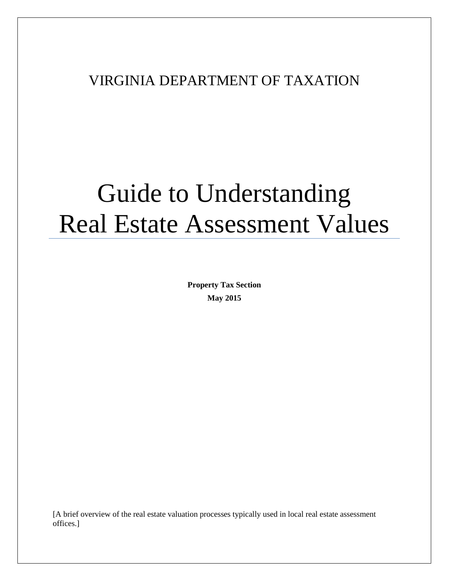# VIRGINIA DEPARTMENT OF TAXATION

# Guide to Understanding Real Estate Assessment Values

**Property Tax Section May 2015**

[A brief overview of the real estate valuation processes typically used in local real estate assessment offices.]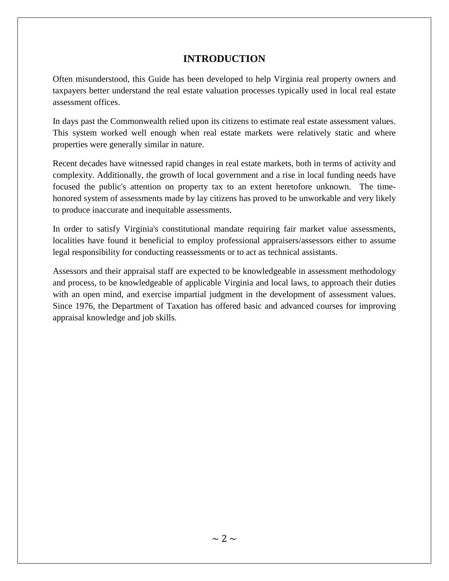# **INTRODUCTION**

Often misunderstood, this Guide has been developed to help Virginia real property owners and taxpayers better understand the real estate valuation processes typically used in local real estate assessment offices.

In days past the Commonwealth relied upon its citizens to estimate real estate assessment values. This system worked well enough when real estate markets were relatively static and where properties were generally similar in nature.

Recent decades have witnessed rapid changes in real estate markets, both in terms of activity and complexity. Additionally, the growth of local government and a rise in local funding needs have focused the public's attention on property tax to an extent heretofore unknown. The timehonored system of assessments made by lay citizens has proved to be unworkable and very likely to produce inaccurate and inequitable assessments.

In order to satisfy Virginia's constitutional mandate requiring fair market value assessments, localities have found it beneficial to employ professional appraisers/assessors either to assume legal responsibility for conducting reassessments or to act as technical assistants.

Assessors and their appraisal staff are expected to be knowledgeable in assessment methodology and process, to be knowledgeable of applicable Virginia and local laws, to approach their duties with an open mind, and exercise impartial judgment in the development of assessment values. Since 1976, the Department of Taxation has offered basic and advanced courses for improving appraisal knowledge and job skills.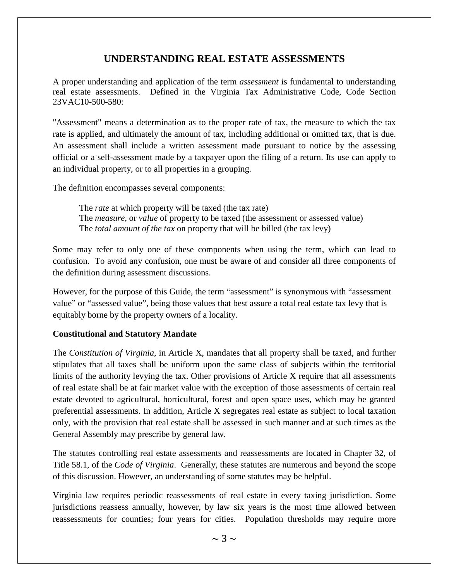# **UNDERSTANDING REAL ESTATE ASSESSMENTS**

A proper understanding and application of the term *assessment* is fundamental to understanding real estate assessments. Defined in the Virginia Tax Administrative Code, Code Section 23VAC10-500-580:

"Assessment" means a determination as to the proper rate of tax, the measure to which the tax rate is applied, and ultimately the amount of tax, including additional or omitted tax, that is due. An assessment shall include a written assessment made pursuant to notice by the assessing official or a self-assessment made by a taxpayer upon the filing of a return. Its use can apply to an individual property, or to all properties in a grouping.

The definition encompasses several components:

The *rate* at which property will be taxed (the tax rate) The *measure*, or *value* of property to be taxed (the assessment or assessed value) The *total amount of the tax* on property that will be billed (the tax levy)

Some may refer to only one of these components when using the term, which can lead to confusion. To avoid any confusion, one must be aware of and consider all three components of the definition during assessment discussions.

However, for the purpose of this Guide, the term "assessment" is synonymous with "assessment value" or "assessed value", being those values that best assure a total real estate tax levy that is equitably borne by the property owners of a locality.

#### **Constitutional and Statutory Mandate**

The *Constitution of Virginia*, in Article X, mandates that all property shall be taxed, and further stipulates that all taxes shall be uniform upon the same class of subjects within the territorial limits of the authority levying the tax. Other provisions of Article X require that all assessments of real estate shall be at fair market value with the exception of those assessments of certain real estate devoted to agricultural, horticultural, forest and open space uses, which may be granted preferential assessments. In addition, Article X segregates real estate as subject to local taxation only, with the provision that real estate shall be assessed in such manner and at such times as the General Assembly may prescribe by general law.

The statutes controlling real estate assessments and reassessments are located in Chapter 32, of Title 58.1, of the *Code of Virginia*. Generally, these statutes are numerous and beyond the scope of this discussion. However, an understanding of some statutes may be helpful.

Virginia law requires periodic reassessments of real estate in every taxing jurisdiction. Some jurisdictions reassess annually, however, by law six years is the most time allowed between reassessments for counties; four years for cities. Population thresholds may require more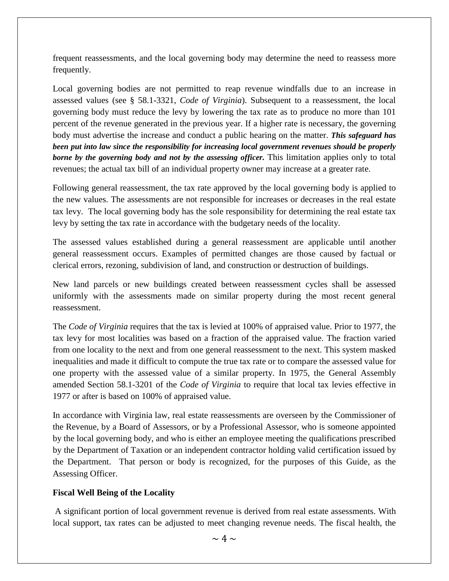frequent reassessments, and the local governing body may determine the need to reassess more frequently.

Local governing bodies are not permitted to reap revenue windfalls due to an increase in assessed values (see § 58.1-3321, *Code of Virginia*). Subsequent to a reassessment, the local governing body must reduce the levy by lowering the tax rate as to produce no more than 101 percent of the revenue generated in the previous year. If a higher rate is necessary, the governing body must advertise the increase and conduct a public hearing on the matter. *This safeguard has been put into law since the responsibility for increasing local government revenues should be properly borne by the governing body and not by the assessing officer.* This limitation applies only to total revenues; the actual tax bill of an individual property owner may increase at a greater rate.

Following general reassessment, the tax rate approved by the local governing body is applied to the new values. The assessments are not responsible for increases or decreases in the real estate tax levy. The local governing body has the sole responsibility for determining the real estate tax levy by setting the tax rate in accordance with the budgetary needs of the locality.

The assessed values established during a general reassessment are applicable until another general reassessment occurs. Examples of permitted changes are those caused by factual or clerical errors, rezoning, subdivision of land, and construction or destruction of buildings.

New land parcels or new buildings created between reassessment cycles shall be assessed uniformly with the assessments made on similar property during the most recent general reassessment.

The *Code of Virginia* requires that the tax is levied at 100% of appraised value. Prior to 1977, the tax levy for most localities was based on a fraction of the appraised value. The fraction varied from one locality to the next and from one general reassessment to the next. This system masked inequalities and made it difficult to compute the true tax rate or to compare the assessed value for one property with the assessed value of a similar property. In 1975, the General Assembly amended Section 58.1-3201 of the *Code of Virginia* to require that local tax levies effective in 1977 or after is based on 100% of appraised value.

In accordance with Virginia law, real estate reassessments are overseen by the Commissioner of the Revenue, by a Board of Assessors, or by a Professional Assessor, who is someone appointed by the local governing body, and who is either an employee meeting the qualifications prescribed by the Department of Taxation or an independent contractor holding valid certification issued by the Department. That person or body is recognized, for the purposes of this Guide, as the Assessing Officer.

#### **Fiscal Well Being of the Locality**

A significant portion of local government revenue is derived from real estate assessments. With local support, tax rates can be adjusted to meet changing revenue needs. The fiscal health, the

 $\sim 4 \sim$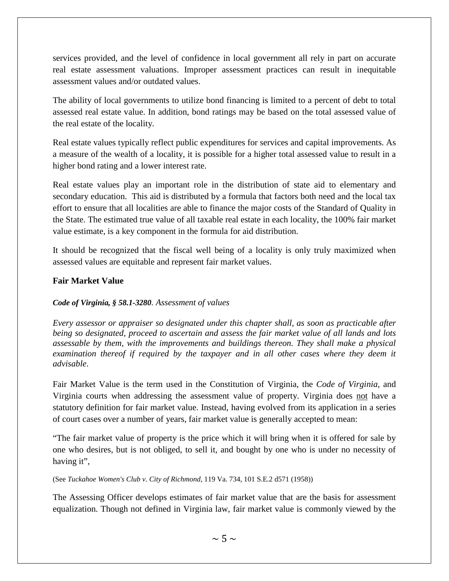services provided, and the level of confidence in local government all rely in part on accurate real estate assessment valuations. Improper assessment practices can result in inequitable assessment values and/or outdated values.

The ability of local governments to utilize bond financing is limited to a percent of debt to total assessed real estate value. In addition, bond ratings may be based on the total assessed value of the real estate of the locality.

Real estate values typically reflect public expenditures for services and capital improvements. As a measure of the wealth of a locality, it is possible for a higher total assessed value to result in a higher bond rating and a lower interest rate.

Real estate values play an important role in the distribution of state aid to elementary and secondary education. This aid is distributed by a formula that factors both need and the local tax effort to ensure that all localities are able to finance the major costs of the Standard of Quality in the State. The estimated true value of all taxable real estate in each locality, the 100% fair market value estimate, is a key component in the formula for aid distribution.

It should be recognized that the fiscal well being of a locality is only truly maximized when assessed values are equitable and represent fair market values.

#### **Fair Market Value**

#### *Code of Virginia, § 58.1-3280. Assessment of values*

*Every assessor or appraiser so designated under this chapter shall, as soon as practicable after being so designated, proceed to ascertain and assess the fair market value of all lands and lots assessable by them, with the improvements and buildings thereon. They shall make a physical examination thereof if required by the taxpayer and in all other cases where they deem it advisable*.

Fair Market Value is the term used in the Constitution of Virginia, the *Code of Virginia*, and Virginia courts when addressing the assessment value of property. Virginia does not have a statutory definition for fair market value. Instead, having evolved from its application in a series of court cases over a number of years, fair market value is generally accepted to mean:

"The fair market value of property is the price which it will bring when it is offered for sale by one who desires, but is not obliged, to sell it, and bought by one who is under no necessity of having it",

(See *Tuckahoe Women's Club v. City of Richmond*, 119 Va. 734, 101 S.E.2 d571 (1958))

The Assessing Officer develops estimates of fair market value that are the basis for assessment equalization. Though not defined in Virginia law, fair market value is commonly viewed by the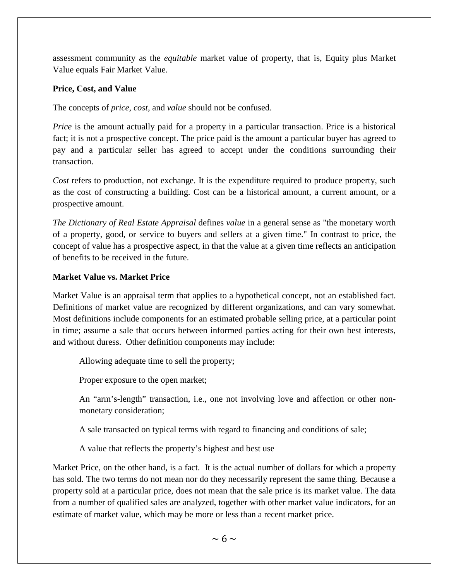assessment community as the *equitable* market value of property, that is, Equity plus Market Value equals Fair Market Value.

#### **Price, Cost, and Value**

The concepts of *price*, *cost*, and *value* should not be confused.

*Price* is the amount actually paid for a property in a particular transaction. Price is a historical fact; it is not a prospective concept. The price paid is the amount a particular buyer has agreed to pay and a particular seller has agreed to accept under the conditions surrounding their transaction.

*Cost* refers to production, not exchange. It is the expenditure required to produce property, such as the cost of constructing a building. Cost can be a historical amount, a current amount, or a prospective amount.

*The Dictionary of Real Estate Appraisal* defines *value* in a general sense as "the monetary worth of a property, good, or service to buyers and sellers at a given time." In contrast to price, the concept of value has a prospective aspect, in that the value at a given time reflects an anticipation of benefits to be received in the future.

#### **Market Value vs. Market Price**

Market Value is an appraisal term that applies to a hypothetical concept, not an established fact. Definitions of market value are recognized by different organizations, and can vary somewhat. Most definitions include components for an estimated probable selling price, at a particular point in time; assume a sale that occurs between informed parties acting for their own best interests, and without duress. Other definition components may include:

Allowing adequate time to sell the property;

Proper exposure to the open market;

An "arm's-length" transaction, i.e., one not involving love and affection or other nonmonetary consideration;

A sale transacted on typical terms with regard to financing and conditions of sale;

A value that reflects the property's highest and best use

Market Price, on the other hand, is a fact. It is the actual number of dollars for which a property has sold. The two terms do not mean nor do they necessarily represent the same thing. Because a property sold at a particular price, does not mean that the sale price is its market value. The data from a number of qualified sales are analyzed, together with other market value indicators, for an estimate of market value, which may be more or less than a recent market price.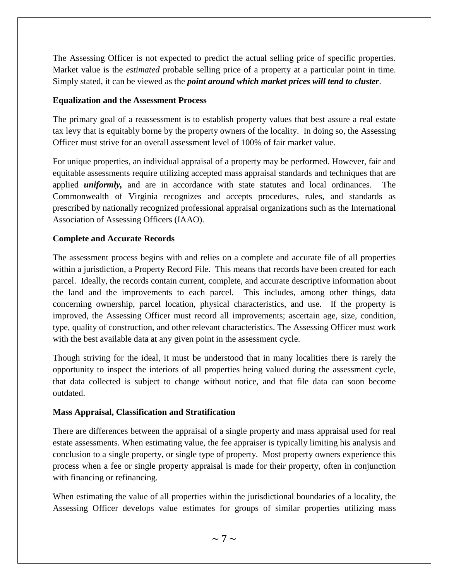The Assessing Officer is not expected to predict the actual selling price of specific properties. Market value is the *estimated* probable selling price of a property at a particular point in time. Simply stated, it can be viewed as the *point around which market prices will tend to cluster*.

#### **Equalization and the Assessment Process**

The primary goal of a reassessment is to establish property values that best assure a real estate tax levy that is equitably borne by the property owners of the locality. In doing so, the Assessing Officer must strive for an overall assessment level of 100% of fair market value.

For unique properties, an individual appraisal of a property may be performed. However, fair and equitable assessments require utilizing accepted mass appraisal standards and techniques that are applied *uniformly,* and are in accordance with state statutes and local ordinances. The Commonwealth of Virginia recognizes and accepts procedures, rules, and standards as prescribed by nationally recognized professional appraisal organizations such as the International Association of Assessing Officers (IAAO).

## **Complete and Accurate Records**

The assessment process begins with and relies on a complete and accurate file of all properties within a jurisdiction, a Property Record File. This means that records have been created for each parcel. Ideally, the records contain current, complete, and accurate descriptive information about the land and the improvements to each parcel. This includes, among other things, data concerning ownership, parcel location, physical characteristics, and use. If the property is improved, the Assessing Officer must record all improvements; ascertain age, size, condition, type, quality of construction, and other relevant characteristics. The Assessing Officer must work with the best available data at any given point in the assessment cycle.

Though striving for the ideal, it must be understood that in many localities there is rarely the opportunity to inspect the interiors of all properties being valued during the assessment cycle, that data collected is subject to change without notice, and that file data can soon become outdated.

## **Mass Appraisal, Classification and Stratification**

There are differences between the appraisal of a single property and mass appraisal used for real estate assessments. When estimating value, the fee appraiser is typically limiting his analysis and conclusion to a single property, or single type of property. Most property owners experience this process when a fee or single property appraisal is made for their property, often in conjunction with financing or refinancing.

When estimating the value of all properties within the jurisdictional boundaries of a locality, the Assessing Officer develops value estimates for groups of similar properties utilizing mass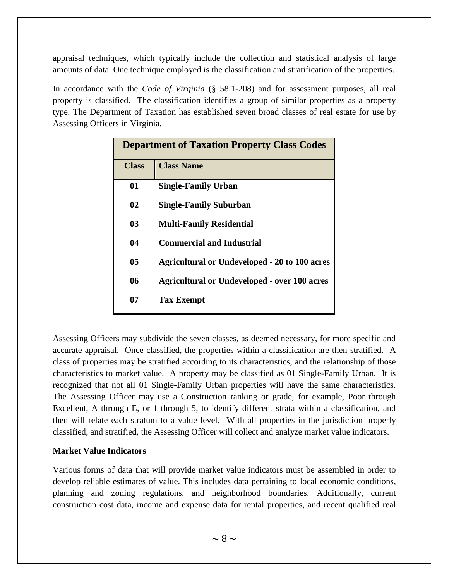appraisal techniques, which typically include the collection and statistical analysis of large amounts of data. One technique employed is the classification and stratification of the properties.

In accordance with the *Code of Virginia* (§ 58.1-208) and for assessment purposes, all real property is classified. The classification identifies a group of similar properties as a property type. The Department of Taxation has established seven broad classes of real estate for use by Assessing Officers in Virginia.

| <b>Department of Taxation Property Class Codes</b> |                                                      |  |  |  |
|----------------------------------------------------|------------------------------------------------------|--|--|--|
| <b>Class</b>                                       | <b>Class Name</b>                                    |  |  |  |
| 01                                                 | <b>Single-Family Urban</b>                           |  |  |  |
| 02                                                 | <b>Single-Family Suburban</b>                        |  |  |  |
| 03                                                 | <b>Multi-Family Residential</b>                      |  |  |  |
| 04                                                 | <b>Commercial and Industrial</b>                     |  |  |  |
| 05                                                 | <b>Agricultural or Undeveloped - 20 to 100 acres</b> |  |  |  |
| 06                                                 | <b>Agricultural or Undeveloped - over 100 acres</b>  |  |  |  |
| 07                                                 | <b>Tax Exempt</b>                                    |  |  |  |

Assessing Officers may subdivide the seven classes, as deemed necessary, for more specific and accurate appraisal. Once classified, the properties within a classification are then stratified. A class of properties may be stratified according to its characteristics, and the relationship of those characteristics to market value. A property may be classified as 01 Single-Family Urban. It is recognized that not all 01 Single-Family Urban properties will have the same characteristics. The Assessing Officer may use a Construction ranking or grade, for example, Poor through Excellent, A through E, or 1 through 5, to identify different strata within a classification, and then will relate each stratum to a value level. With all properties in the jurisdiction properly classified, and stratified, the Assessing Officer will collect and analyze market value indicators.

#### **Market Value Indicators**

Various forms of data that will provide market value indicators must be assembled in order to develop reliable estimates of value. This includes data pertaining to local economic conditions, planning and zoning regulations, and neighborhood boundaries. Additionally, current construction cost data, income and expense data for rental properties, and recent qualified real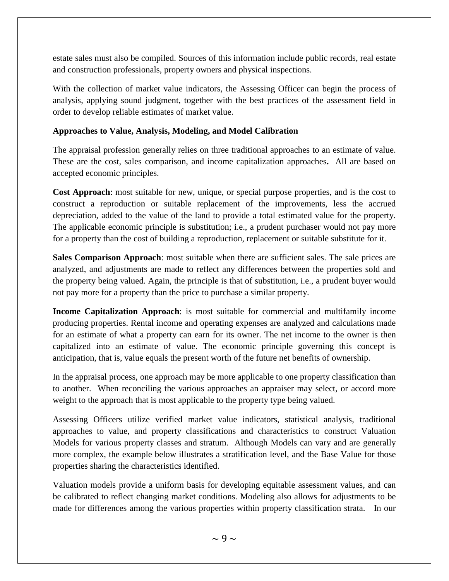estate sales must also be compiled. Sources of this information include public records, real estate and construction professionals, property owners and physical inspections.

With the collection of market value indicators, the Assessing Officer can begin the process of analysis, applying sound judgment, together with the best practices of the assessment field in order to develop reliable estimates of market value.

#### **Approaches to Value, Analysis, Modeling, and Model Calibration**

The appraisal profession generally relies on three traditional approaches to an estimate of value. These are the cost, sales comparison, and income capitalization approaches**.** All are based on accepted economic principles.

**Cost Approach**: most suitable for new, unique, or special purpose properties, and is the cost to construct a reproduction or suitable replacement of the improvements, less the accrued depreciation, added to the value of the land to provide a total estimated value for the property. The applicable economic principle is substitution; i.e., a prudent purchaser would not pay more for a property than the cost of building a reproduction, replacement or suitable substitute for it.

**Sales Comparison Approach**: most suitable when there are sufficient sales. The sale prices are analyzed, and adjustments are made to reflect any differences between the properties sold and the property being valued. Again, the principle is that of substitution, i.e., a prudent buyer would not pay more for a property than the price to purchase a similar property.

**Income Capitalization Approach**: is most suitable for commercial and multifamily income producing properties. Rental income and operating expenses are analyzed and calculations made for an estimate of what a property can earn for its owner. The net income to the owner is then capitalized into an estimate of value. The economic principle governing this concept is anticipation, that is, value equals the present worth of the future net benefits of ownership.

In the appraisal process, one approach may be more applicable to one property classification than to another. When reconciling the various approaches an appraiser may select, or accord more weight to the approach that is most applicable to the property type being valued.

Assessing Officers utilize verified market value indicators, statistical analysis, traditional approaches to value, and property classifications and characteristics to construct Valuation Models for various property classes and stratum. Although Models can vary and are generally more complex, the example below illustrates a stratification level, and the Base Value for those properties sharing the characteristics identified.

Valuation models provide a uniform basis for developing equitable assessment values, and can be calibrated to reflect changing market conditions. Modeling also allows for adjustments to be made for differences among the various properties within property classification strata. In our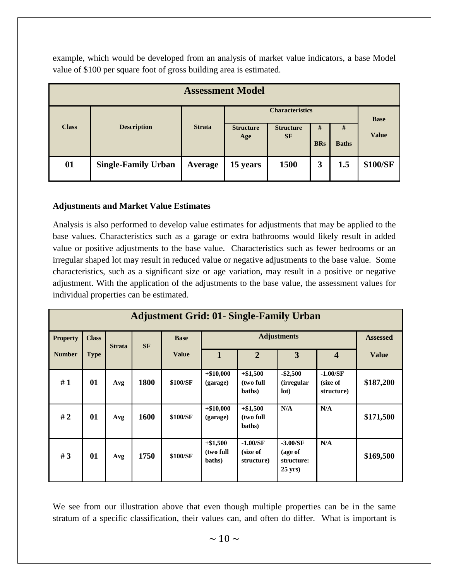example, which would be developed from an analysis of market value indicators, a base Model value of \$100 per square foot of gross building area is estimated.

| <b>Assessment Model</b> |                            |               |                         |                               |            |              |                             |  |
|-------------------------|----------------------------|---------------|-------------------------|-------------------------------|------------|--------------|-----------------------------|--|
|                         | <b>Description</b>         | <b>Strata</b> | <b>Characteristics</b>  |                               |            |              |                             |  |
| <b>Class</b>            |                            |               | <b>Structure</b><br>Age | <b>Structure</b><br><b>SF</b> | #          | #            | <b>Base</b><br><b>Value</b> |  |
|                         |                            |               |                         |                               | <b>BRs</b> | <b>Baths</b> |                             |  |
| 01                      | <b>Single-Family Urban</b> | Average       | 15 years                | 1500                          | 3          | 1.5          | \$100/SF                    |  |
|                         |                            |               |                         |                               |            |              |                             |  |

#### **Adjustments and Market Value Estimates**

Analysis is also performed to develop value estimates for adjustments that may be applied to the base values. Characteristics such as a garage or extra bathrooms would likely result in added value or positive adjustments to the base value. Characteristics such as fewer bedrooms or an irregular shaped lot may result in reduced value or negative adjustments to the base value. Some characteristics, such as a significant size or age variation, may result in a positive or negative adjustment. With the application of the adjustments to the base value, the assessment values for individual properties can be estimated.

| <b>Adjustment Grid: 01- Single-Family Urban</b> |              |               |      |          |                                   |                                      |                                                  |                                      |           |                         |                 |
|-------------------------------------------------|--------------|---------------|------|----------|-----------------------------------|--------------------------------------|--------------------------------------------------|--------------------------------------|-----------|-------------------------|-----------------|
| <b>Property</b>                                 | <b>Class</b> | <b>Strata</b> |      |          | <b>SF</b>                         | <b>Adjustments</b><br><b>Base</b>    |                                                  |                                      |           |                         | <b>Assessed</b> |
| <b>Number</b>                                   | <b>Type</b>  |               |      |          |                                   | <b>Value</b>                         | $\mathbf{1}$                                     | $\overline{2}$                       | 3         | $\overline{\mathbf{4}}$ | <b>Value</b>    |
| #1                                              | 01           | Avg           | 1800 | \$100/SF | $+\$10,000$<br>(garage)           | $+\$1,500$<br>(two full<br>baths)    | $-$ \$2,500<br><i>(irregular)</i><br>lot)        | $-1.00/SF$<br>(size of<br>structure) | \$187,200 |                         |                 |
| #2                                              | 01           | Avg           | 1600 | \$100/SF | $+ $10,000$<br>(garage)           | $+ $1,500$<br>(two full<br>baths)    | N/A                                              | N/A                                  | \$171,500 |                         |                 |
| #3                                              | 01           | Avg           | 1750 | \$100/SF | $+ $1,500$<br>(two full<br>baths) | $-1.00/SF$<br>(size of<br>structure) | $-3.00/SF$<br>(age of<br>structure:<br>$25$ yrs) | N/A                                  | \$169,500 |                         |                 |

We see from our illustration above that even though multiple properties can be in the same stratum of a specific classification, their values can, and often do differ. What is important is